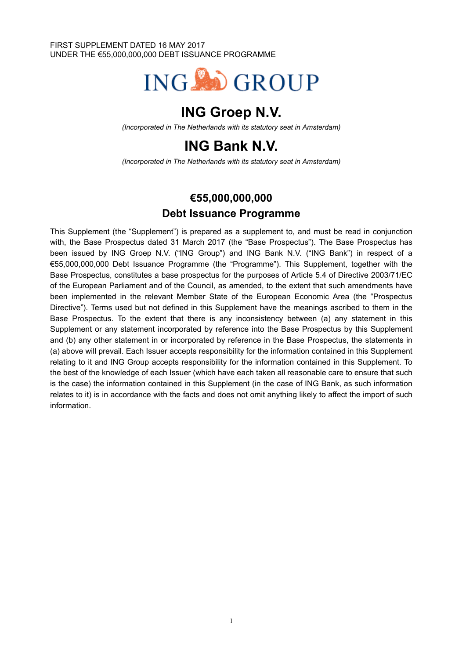#### FIRST SUPPLEMENT DATED 16 MAY 2017 UNDER THE €55,000,000,000 DEBT ISSUANCE PROGRAMME



# **ING Groep N.V.**

*(Incorporated in The Netherlands with its statutory seat in Amsterdam)*

# **ING Bank N.V.**

*(Incorporated in The Netherlands with its statutory seat in Amsterdam)*

## **€55,000,000,000 Debt Issuance Programme**

This Supplement (the "Supplement") is prepared as a supplement to, and must be read in conjunction with, the Base Prospectus dated 31 March 2017 (the "Base Prospectus"). The Base Prospectus has been issued by ING Groep N.V. ("ING Group") and ING Bank N.V. ("ING Bank") in respect of a €55,000,000,000 Debt Issuance Programme (the "Programme"). This Supplement, together with the Base Prospectus, constitutes a base prospectus for the purposes of Article 5.4 of Directive 2003/71/EC of the European Parliament and of the Council, as amended, to the extent that such amendments have been implemented in the relevant Member State of the European Economic Area (the "Prospectus Directive"). Terms used but not defined in this Supplement have the meanings ascribed to them in the Base Prospectus. To the extent that there is any inconsistency between (a) any statement in this Supplement or any statement incorporated by reference into the Base Prospectus by this Supplement and (b) any other statement in or incorporated by reference in the Base Prospectus, the statements in (a) above will prevail. Each Issuer accepts responsibility for the information contained in this Supplement relating to it and ING Group accepts responsibility for the information contained in this Supplement. To the best of the knowledge of each Issuer (which have each taken all reasonable care to ensure that such is the case) the information contained in this Supplement (in the case of ING Bank, as such information relates to it) is in accordance with the facts and does not omit anything likely to affect the import of such information.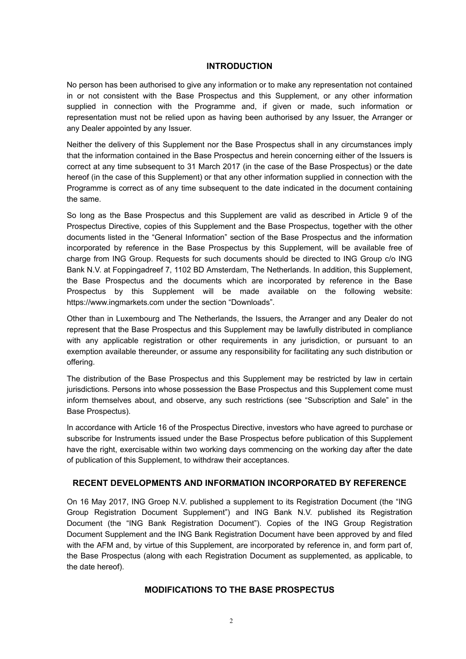### **INTRODUCTION**

No person has been authorised to give any information or to make any representation not contained in or not consistent with the Base Prospectus and this Supplement, or any other information supplied in connection with the Programme and, if given or made, such information or representation must not be relied upon as having been authorised by any Issuer, the Arranger or any Dealer appointed by any Issuer.

Neither the delivery of this Supplement nor the Base Prospectus shall in any circumstances imply that the information contained in the Base Prospectus and herein concerning either of the Issuers is correct at any time subsequent to 31 March 2017 (in the case of the Base Prospectus) or the date hereof (in the case of this Supplement) or that any other information supplied in connection with the Programme is correct as of any time subsequent to the date indicated in the document containing the same.

So long as the Base Prospectus and this Supplement are valid as described in Article 9 of the Prospectus Directive, copies of this Supplement and the Base Prospectus, together with the other documents listed in the "General Information" section of the Base Prospectus and the information incorporated by reference in the Base Prospectus by this Supplement, will be available free of charge from ING Group. Requests for such documents should be directed to ING Group c/o ING Bank N.V. at Foppingadreef 7, 1102 BD Amsterdam, The Netherlands. In addition, this Supplement, the Base Prospectus and the documents which are incorporated by reference in the Base Prospectus by this Supplement will be made available on the following website: https://www.ingmarkets.com under the section "Downloads".

Other than in Luxembourg and The Netherlands, the Issuers, the Arranger and any Dealer do not represent that the Base Prospectus and this Supplement may be lawfully distributed in compliance with any applicable registration or other requirements in any jurisdiction, or pursuant to an exemption available thereunder, or assume any responsibility for facilitating any such distribution or offering.

The distribution of the Base Prospectus and this Supplement may be restricted by law in certain jurisdictions. Persons into whose possession the Base Prospectus and this Supplement come must inform themselves about, and observe, any such restrictions (see "Subscription and Sale" in the Base Prospectus).

In accordance with Article 16 of the Prospectus Directive, investors who have agreed to purchase or subscribe for Instruments issued under the Base Prospectus before publication of this Supplement have the right, exercisable within two working days commencing on the working day after the date of publication of this Supplement, to withdraw their acceptances.

### **RECENT DEVELOPMENTS AND INFORMATION INCORPORATED BY REFERENCE**

On 16 May 2017, ING Groep N.V. published a supplement to its Registration Document (the "ING Group Registration Document Supplement") and ING Bank N.V. published its Registration Document (the "ING Bank Registration Document"). Copies of the ING Group Registration Document Supplement and the ING Bank Registration Document have been approved by and filed with the AFM and, by virtue of this Supplement, are incorporated by reference in, and form part of, the Base Prospectus (along with each Registration Document as supplemented, as applicable, to the date hereof).

### **MODIFICATIONS TO THE BASE PROSPECTUS**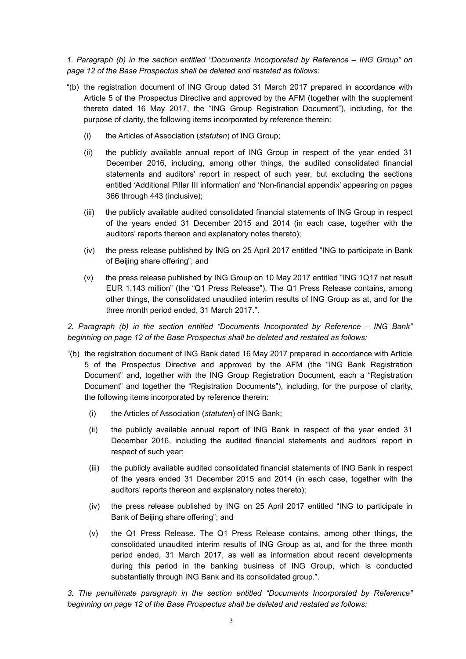*1. Paragraph (b) in the section entitled "Documents Incorporated by Reference – ING Group" on page 12 of the Base Prospectus shall be deleted and restated as follows:* 

- "(b) the registration document of ING Group dated 31 March 2017 prepared in accordance with Article 5 of the Prospectus Directive and approved by the AFM (together with the supplement thereto dated 16 May 2017, the "ING Group Registration Document"), including, for the purpose of clarity, the following items incorporated by reference therein:
	- (i) the Articles of Association (*statuten*) of ING Group;
	- (ii) the publicly available annual report of ING Group in respect of the year ended 31 December 2016, including, among other things, the audited consolidated financial statements and auditors' report in respect of such year, but excluding the sections entitled 'Additional Pillar III information' and 'Non-financial appendix' appearing on pages 366 through 443 (inclusive);
	- (iii) the publicly available audited consolidated financial statements of ING Group in respect of the years ended 31 December 2015 and 2014 (in each case, together with the auditors' reports thereon and explanatory notes thereto);
	- (iv) the press release published by ING on 25 April 2017 entitled "ING to participate in Bank of Beijing share offering"; and
	- (v) the press release published by ING Group on 10 May 2017 entitled "ING 1Q17 net result EUR 1,143 million" (the "Q1 Press Release"). The Q1 Press Release contains, among other things, the consolidated unaudited interim results of ING Group as at, and for the three month period ended, 31 March 2017.".

*2. Paragraph (b) in the section entitled "Documents Incorporated by Reference – ING Bank" beginning on page 12 of the Base Prospectus shall be deleted and restated as follows:*

- "(b) the registration document of ING Bank dated 16 May 2017 prepared in accordance with Article 5 of the Prospectus Directive and approved by the AFM (the "ING Bank Registration Document" and, together with the ING Group Registration Document, each a "Registration Document" and together the "Registration Documents"), including, for the purpose of clarity, the following items incorporated by reference therein:
	- (i) the Articles of Association (*statuten*) of ING Bank;
	- (ii) the publicly available annual report of ING Bank in respect of the year ended 31 December 2016, including the audited financial statements and auditors' report in respect of such year;
	- (iii) the publicly available audited consolidated financial statements of ING Bank in respect of the years ended 31 December 2015 and 2014 (in each case, together with the auditors' reports thereon and explanatory notes thereto);
	- (iv) the press release published by ING on 25 April 2017 entitled "ING to participate in Bank of Beijing share offering"; and
	- (v) the Q1 Press Release. The Q1 Press Release contains, among other things, the consolidated unaudited interim results of ING Group as at, and for the three month period ended, 31 March 2017, as well as information about recent developments during this period in the banking business of ING Group, which is conducted substantially through ING Bank and its consolidated group.".

*3. The penultimate paragraph in the section entitled "Documents Incorporated by Reference" beginning on page 12 of the Base Prospectus shall be deleted and restated as follows:*